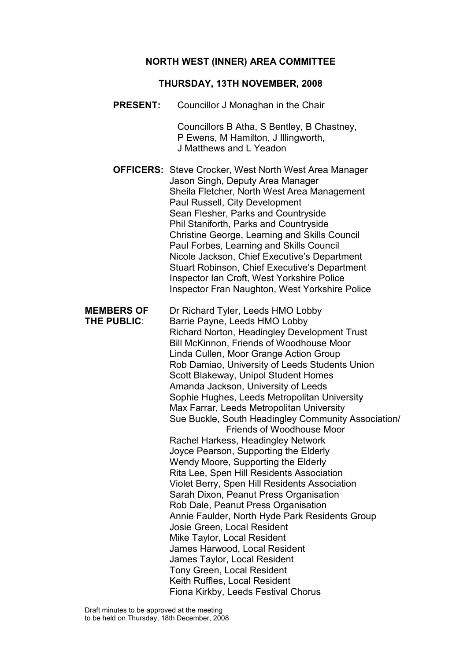#### NORTH WEST (INNER) AREA COMMITTEE

#### THURSDAY, 13TH NOVEMBER, 2008

PRESENT: Councillor J Monaghan in the Chair

 Councillors B Atha, S Bentley, B Chastney, P Ewens, M Hamilton, J Illingworth, J Matthews and L Yeadon

OFFICERS: Steve Crocker, West North West Area Manager Jason Singh, Deputy Area Manager Sheila Fletcher, North West Area Management Paul Russell, City Development Sean Flesher, Parks and Countryside Phil Staniforth, Parks and Countryside Christine George, Learning and Skills Council Paul Forbes, Learning and Skills Council Nicole Jackson, Chief Executive's Department Stuart Robinson, Chief Executive's Department Inspector Ian Croft, West Yorkshire Police Inspector Fran Naughton, West Yorkshire Police

MEMBERS OF Dr Richard Tyler, Leeds HMO Lobby THE PUBLIC: Barrie Payne, Leeds HMO Lobby Richard Norton, Headingley Development Trust Bill McKinnon, Friends of Woodhouse Moor Linda Cullen, Moor Grange Action Group Rob Damiao, University of Leeds Students Union Scott Blakeway, Unipol Student Homes Amanda Jackson, University of Leeds Sophie Hughes, Leeds Metropolitan University Max Farrar, Leeds Metropolitan University Sue Buckle, South Headingley Community Association/ Friends of Woodhouse Moor Rachel Harkess, Headingley Network Joyce Pearson, Supporting the Elderly Wendy Moore, Supporting the Elderly Rita Lee, Spen Hill Residents Association Violet Berry, Spen Hill Residents Association Sarah Dixon, Peanut Press Organisation Rob Dale, Peanut Press Organisation Annie Faulder, North Hyde Park Residents Group Josie Green, Local Resident Mike Taylor, Local Resident James Harwood, Local Resident James Taylor, Local Resident Tony Green, Local Resident Keith Ruffles, Local Resident Fiona Kirkby, Leeds Festival Chorus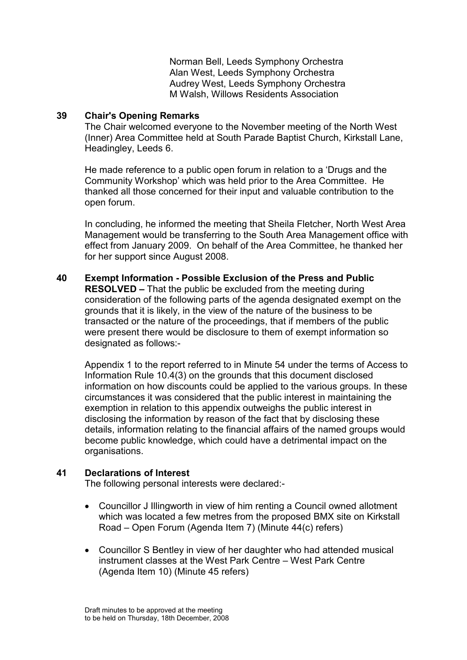Norman Bell, Leeds Symphony Orchestra Alan West, Leeds Symphony Orchestra Audrey West, Leeds Symphony Orchestra M Walsh, Willows Residents Association

### 39 Chair's Opening Remarks

The Chair welcomed everyone to the November meeting of the North West (Inner) Area Committee held at South Parade Baptist Church, Kirkstall Lane, Headingley, Leeds 6.

He made reference to a public open forum in relation to a 'Drugs and the Community Workshop' which was held prior to the Area Committee. He thanked all those concerned for their input and valuable contribution to the open forum.

In concluding, he informed the meeting that Sheila Fletcher, North West Area Management would be transferring to the South Area Management office with effect from January 2009. On behalf of the Area Committee, he thanked her for her support since August 2008.

40 Exempt Information - Possible Exclusion of the Press and Public RESOLVED – That the public be excluded from the meeting during consideration of the following parts of the agenda designated exempt on the grounds that it is likely, in the view of the nature of the business to be transacted or the nature of the proceedings, that if members of the public were present there would be disclosure to them of exempt information so designated as follows:-

Appendix 1 to the report referred to in Minute 54 under the terms of Access to Information Rule 10.4(3) on the grounds that this document disclosed information on how discounts could be applied to the various groups. In these circumstances it was considered that the public interest in maintaining the exemption in relation to this appendix outweighs the public interest in disclosing the information by reason of the fact that by disclosing these details, information relating to the financial affairs of the named groups would become public knowledge, which could have a detrimental impact on the organisations.

## 41 Declarations of Interest

The following personal interests were declared:-

- Councillor J Illingworth in view of him renting a Council owned allotment which was located a few metres from the proposed BMX site on Kirkstall Road – Open Forum (Agenda Item 7) (Minute 44(c) refers)
- Councillor S Bentley in view of her daughter who had attended musical instrument classes at the West Park Centre – West Park Centre (Agenda Item 10) (Minute 45 refers)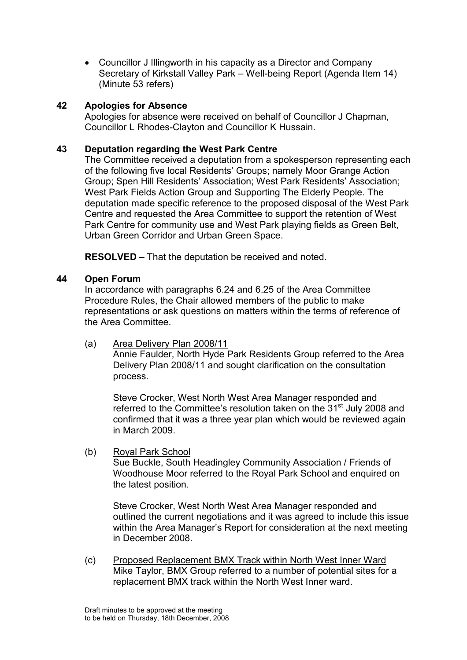• Councillor J Illingworth in his capacity as a Director and Company Secretary of Kirkstall Valley Park – Well-being Report (Agenda Item 14) (Minute 53 refers)

### 42 Apologies for Absence

Apologies for absence were received on behalf of Councillor J Chapman, Councillor L Rhodes-Clayton and Councillor K Hussain.

#### 43 Deputation regarding the West Park Centre

The Committee received a deputation from a spokesperson representing each of the following five local Residents' Groups; namely Moor Grange Action Group; Spen Hill Residents' Association; West Park Residents' Association; West Park Fields Action Group and Supporting The Elderly People. The deputation made specific reference to the proposed disposal of the West Park Centre and requested the Area Committee to support the retention of West Park Centre for community use and West Park playing fields as Green Belt, Urban Green Corridor and Urban Green Space.

RESOLVED – That the deputation be received and noted.

### 44 Open Forum

In accordance with paragraphs 6.24 and 6.25 of the Area Committee Procedure Rules, the Chair allowed members of the public to make representations or ask questions on matters within the terms of reference of the Area Committee.

(a) Area Delivery Plan 2008/11

 Annie Faulder, North Hyde Park Residents Group referred to the Area Delivery Plan 2008/11 and sought clarification on the consultation process.

 Steve Crocker, West North West Area Manager responded and referred to the Committee's resolution taken on the 31<sup>st</sup> July 2008 and confirmed that it was a three year plan which would be reviewed again in March 2009.

(b) Royal Park School

 Sue Buckle, South Headingley Community Association / Friends of Woodhouse Moor referred to the Royal Park School and enquired on the latest position.

 Steve Crocker, West North West Area Manager responded and outlined the current negotiations and it was agreed to include this issue within the Area Manager's Report for consideration at the next meeting in December 2008.

(c) Proposed Replacement BMX Track within North West Inner Ward Mike Taylor, BMX Group referred to a number of potential sites for a replacement BMX track within the North West Inner ward.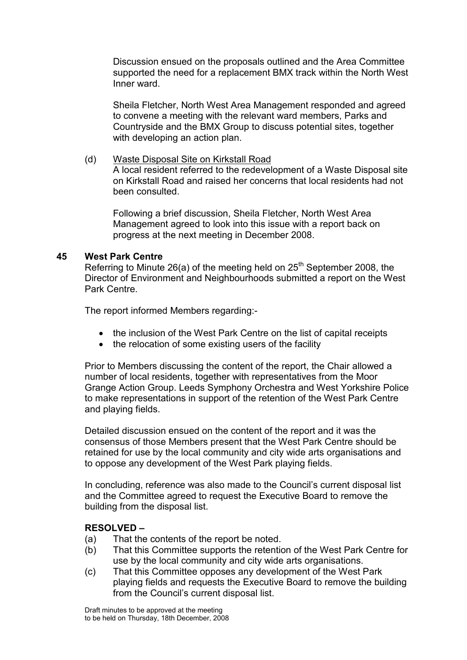Discussion ensued on the proposals outlined and the Area Committee supported the need for a replacement BMX track within the North West Inner ward.

 Sheila Fletcher, North West Area Management responded and agreed to convene a meeting with the relevant ward members, Parks and Countryside and the BMX Group to discuss potential sites, together with developing an action plan.

(d) Waste Disposal Site on Kirkstall Road A local resident referred to the redevelopment of a Waste Disposal site on Kirkstall Road and raised her concerns that local residents had not been consulted.

 Following a brief discussion, Sheila Fletcher, North West Area Management agreed to look into this issue with a report back on progress at the next meeting in December 2008.

### 45 West Park Centre

Referring to Minute 26(a) of the meeting held on  $25<sup>th</sup>$  September 2008, the Director of Environment and Neighbourhoods submitted a report on the West Park Centre.

The report informed Members regarding:-

- the inclusion of the West Park Centre on the list of capital receipts
- the relocation of some existing users of the facility

Prior to Members discussing the content of the report, the Chair allowed a number of local residents, together with representatives from the Moor Grange Action Group. Leeds Symphony Orchestra and West Yorkshire Police to make representations in support of the retention of the West Park Centre and playing fields.

Detailed discussion ensued on the content of the report and it was the consensus of those Members present that the West Park Centre should be retained for use by the local community and city wide arts organisations and to oppose any development of the West Park playing fields.

In concluding, reference was also made to the Council's current disposal list and the Committee agreed to request the Executive Board to remove the building from the disposal list.

### RESOLVED –

- (a) That the contents of the report be noted.
- (b) That this Committee supports the retention of the West Park Centre for use by the local community and city wide arts organisations.
- (c) That this Committee opposes any development of the West Park playing fields and requests the Executive Board to remove the building from the Council's current disposal list.

Draft minutes to be approved at the meeting to be held on Thursday, 18th December, 2008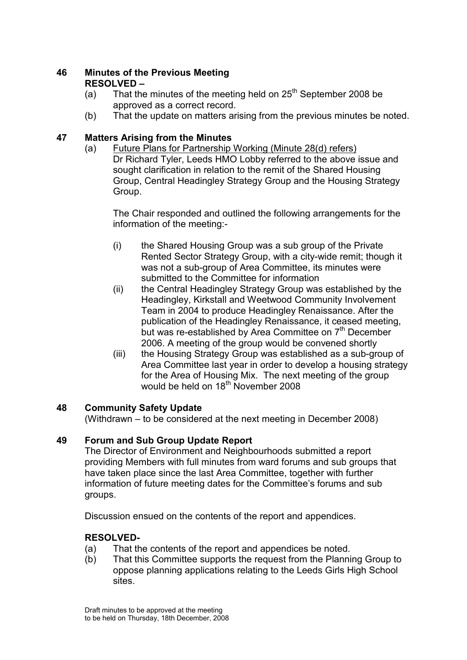## 46 Minutes of the Previous Meeting RESOLVED –

- (a) That the minutes of the meeting held on  $25<sup>th</sup>$  September 2008 be approved as a correct record.
- (b) That the update on matters arising from the previous minutes be noted.

# 47 Matters Arising from the Minutes

(a) Future Plans for Partnership Working (Minute 28(d) refers) Dr Richard Tyler, Leeds HMO Lobby referred to the above issue and sought clarification in relation to the remit of the Shared Housing Group, Central Headingley Strategy Group and the Housing Strategy Group.

 The Chair responded and outlined the following arrangements for the information of the meeting:-

- (i) the Shared Housing Group was a sub group of the Private Rented Sector Strategy Group, with a city-wide remit; though it was not a sub-group of Area Committee, its minutes were submitted to the Committee for information
- (ii) the Central Headingley Strategy Group was established by the Headingley, Kirkstall and Weetwood Community Involvement Team in 2004 to produce Headingley Renaissance. After the publication of the Headingley Renaissance, it ceased meeting, but was re-established by Area Committee on 7<sup>th</sup> December 2006. A meeting of the group would be convened shortly
- (iii) the Housing Strategy Group was established as a sub-group of Area Committee last year in order to develop a housing strategy for the Area of Housing Mix. The next meeting of the group would be held on  $18<sup>th</sup>$  November 2008

# 48 Community Safety Update

(Withdrawn – to be considered at the next meeting in December 2008)

# 49 Forum and Sub Group Update Report

The Director of Environment and Neighbourhoods submitted a report providing Members with full minutes from ward forums and sub groups that have taken place since the last Area Committee, together with further information of future meeting dates for the Committee's forums and sub groups.

Discussion ensued on the contents of the report and appendices.

# RESOLVED-

- (a) That the contents of the report and appendices be noted.
- (b) That this Committee supports the request from the Planning Group to oppose planning applications relating to the Leeds Girls High School sites.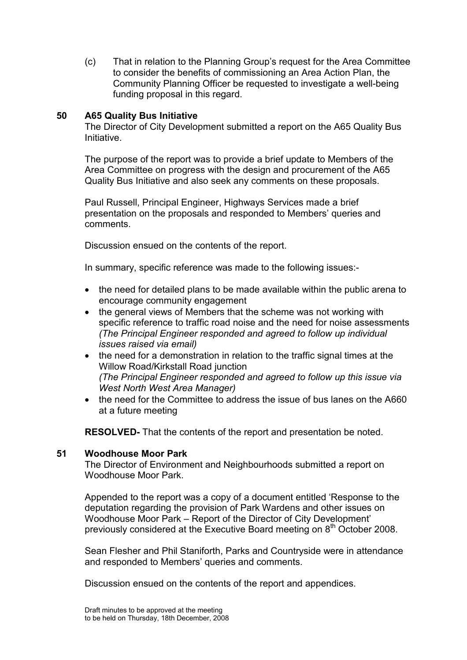(c) That in relation to the Planning Group's request for the Area Committee to consider the benefits of commissioning an Area Action Plan, the Community Planning Officer be requested to investigate a well-being funding proposal in this regard.

### 50 A65 Quality Bus Initiative

The Director of City Development submitted a report on the A65 Quality Bus Initiative.

The purpose of the report was to provide a brief update to Members of the Area Committee on progress with the design and procurement of the A65 Quality Bus Initiative and also seek any comments on these proposals.

Paul Russell, Principal Engineer, Highways Services made a brief presentation on the proposals and responded to Members' queries and comments.

Discussion ensued on the contents of the report.

In summary, specific reference was made to the following issues:-

- the need for detailed plans to be made available within the public arena to encourage community engagement
- the general views of Members that the scheme was not working with specific reference to traffic road noise and the need for noise assessments (The Principal Engineer responded and agreed to follow up individual issues raised via email)
- the need for a demonstration in relation to the traffic signal times at the Willow Road/Kirkstall Road junction (The Principal Engineer responded and agreed to follow up this issue via West North West Area Manager)
- the need for the Committee to address the issue of bus lanes on the A660 at a future meeting

RESOLVED- That the contents of the report and presentation be noted.

#### 51 Woodhouse Moor Park

The Director of Environment and Neighbourhoods submitted a report on Woodhouse Moor Park.

Appended to the report was a copy of a document entitled 'Response to the deputation regarding the provision of Park Wardens and other issues on Woodhouse Moor Park – Report of the Director of City Development' previously considered at the Executive Board meeting on 8<sup>th</sup> October 2008.

Sean Flesher and Phil Staniforth, Parks and Countryside were in attendance and responded to Members' queries and comments.

Discussion ensued on the contents of the report and appendices.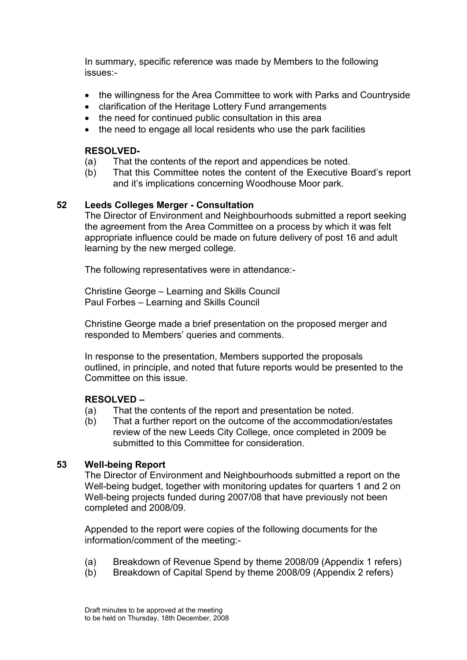In summary, specific reference was made by Members to the following issues:-

- the willingness for the Area Committee to work with Parks and Countryside
- clarification of the Heritage Lottery Fund arrangements
- the need for continued public consultation in this area
- the need to engage all local residents who use the park facilities

### RESOLVED-

- (a) That the contents of the report and appendices be noted.
- (b) That this Committee notes the content of the Executive Board's report and it's implications concerning Woodhouse Moor park.

### 52 Leeds Colleges Merger - Consultation

The Director of Environment and Neighbourhoods submitted a report seeking the agreement from the Area Committee on a process by which it was felt appropriate influence could be made on future delivery of post 16 and adult learning by the new merged college.

The following representatives were in attendance:-

Christine George – Learning and Skills Council Paul Forbes – Learning and Skills Council

Christine George made a brief presentation on the proposed merger and responded to Members' queries and comments.

In response to the presentation, Members supported the proposals outlined, in principle, and noted that future reports would be presented to the Committee on this issue.

### RESOLVED –

- (a) That the contents of the report and presentation be noted.
- (b) That a further report on the outcome of the accommodation/estates review of the new Leeds City College, once completed in 2009 be submitted to this Committee for consideration.

### 53 Well-being Report

The Director of Environment and Neighbourhoods submitted a report on the Well-being budget, together with monitoring updates for quarters 1 and 2 on Well-being projects funded during 2007/08 that have previously not been completed and 2008/09.

Appended to the report were copies of the following documents for the information/comment of the meeting:-

- (a) Breakdown of Revenue Spend by theme 2008/09 (Appendix 1 refers)
- (b) Breakdown of Capital Spend by theme 2008/09 (Appendix 2 refers)